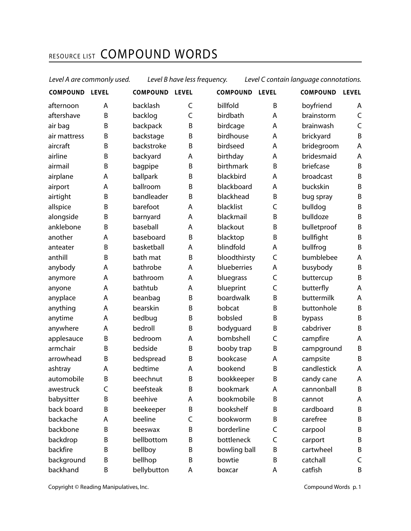## RESOURCE LIST COMPOUND WORDS

|                 |              |                 | re. Binare ress in equency. |                 | <b>CONTROLLED</b> |                 |              |
|-----------------|--------------|-----------------|-----------------------------|-----------------|-------------------|-----------------|--------------|
| <b>COMPOUND</b> | <b>LEVEL</b> | <b>COMPOUND</b> | <b>LEVEL</b>                | <b>COMPOUND</b> | <b>LEVEL</b>      | <b>COMPOUND</b> | <b>LEVEL</b> |
| afternoon       | A            | backlash        | C                           | billfold        | B                 | boyfriend       | A            |
| aftershave      | B            | backlog         | $\mathsf C$                 | birdbath        | Α                 | brainstorm      | $\mathsf C$  |
| air bag         | B            | backpack        | B                           | birdcage        | A                 | brainwash       | $\mathsf C$  |
| air mattress    | B            | backstage       | B                           | birdhouse       | A                 | brickyard       | $\sf B$      |
| aircraft        | B            | backstroke      | B                           | birdseed        | A                 | bridegroom      | A            |
| airline         | B            | backyard        | A                           | birthday        | A                 | bridesmaid      | A            |
| airmail         | B            | bagpipe         | B                           | birthmark       | B                 | briefcase       | B            |
| airplane        | A            | ballpark        | B                           | blackbird       | A                 | broadcast       | $\sf B$      |
| airport         | A            | ballroom        | B                           | blackboard      | A                 | buckskin        | $\mathsf B$  |
| airtight        | B            | bandleader      | B                           | blackhead       | B                 | bug spray       | $\mathsf B$  |
| allspice        | B            | barefoot        | A                           | blacklist       | $\mathsf C$       | bulldog         | $\mathsf B$  |
| alongside       | B            | barnyard        | A                           | blackmail       | B                 | bulldoze        | $\mathsf B$  |
| anklebone       | B            | baseball        | Α                           | blackout        | B                 | bulletproof     | $\mathsf B$  |
| another         | Α            | baseboard       | B                           | blacktop        | B                 | bullfight       | $\mathsf B$  |
| anteater        | B            | basketball      | A                           | blindfold       | A                 | bullfrog        | B            |
| anthill         | B            | bath mat        | B                           | bloodthirsty    | $\mathsf C$       | bumblebee       | A            |
| anybody         | А            | bathrobe        | А                           | blueberries     | А                 | busybody        | $\sf B$      |
| anymore         | A            | bathroom        | A                           | bluegrass       | $\mathsf C$       | buttercup       | B            |
| anyone          | A            | bathtub         | A                           | blueprint       | $\mathsf C$       | butterfly       | A            |
| anyplace        | A            | beanbag         | B                           | boardwalk       | B                 | buttermilk      | A            |
| anything        | A            | bearskin        | B                           | bobcat          | B                 | buttonhole      | $\sf B$      |
| anytime         | A            | bedbug          | B                           | bobsled         | B                 | bypass          | B            |
| anywhere        | A            | bedroll         | B                           | bodyguard       | B                 | cabdriver       | B            |
| applesauce      | B            | bedroom         | A                           | bombshell       | $\mathsf C$       | campfire        | A            |
| armchair        | B            | bedside         | B                           | booby trap      | B                 | campground      | $\mathsf B$  |
| arrowhead       | B            | bedspread       | B                           | bookcase        | A                 | campsite        | $\mathsf B$  |
| ashtray         | Α            | bedtime         | Α                           | bookend         | B                 | candlestick     | A            |
| automobile      | B            | beechnut        | B                           | bookkeeper      | B                 | candy cane      | A            |
| awestruck       | C            | beefsteak       | B                           | bookmark        | Α                 | cannonball      | B            |
| babysitter      | B            | beehive         | А                           | bookmobile      | B                 | cannot          | A            |
| back board      | B            | beekeeper       | B                           | bookshelf       | B                 | cardboard       | B            |
| backache        | Α            | beeline         | $\mathsf C$                 | bookworm        | B                 | carefree        | B            |
| backbone        | B            | beeswax         | B                           | borderline      | C                 | carpool         | B            |
| backdrop        | B            | bellbottom      | B                           | bottleneck      | $\mathsf C$       | carport         | B            |
| backfire        | B            | bellboy         | B                           | bowling ball    | B                 | cartwheel       | B            |
| background      | B            | bellhop         | B                           | bowtie          | B                 | catchall        | $\mathsf C$  |
| backhand        | Β            | bellybutton     | Α                           | boxcar          | А                 | catfish         | Β            |

*Level A are commonly used. Level B have less frequency. Level C contain language connotations.*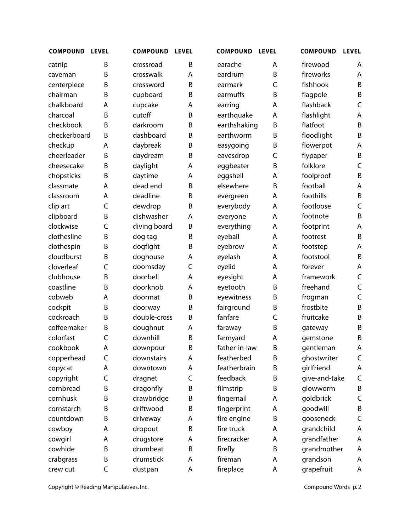| <b>COMPOUND</b> | <b>LEVEL</b> | <b>COMPOUND</b> | <b>LEVEL</b> | <b>COMPOUND</b> | <b>LEVEL</b> | <b>COMPOUND</b> | <b>LEVEL</b> |
|-----------------|--------------|-----------------|--------------|-----------------|--------------|-----------------|--------------|
| catnip          | B            | crossroad       | Β            | earache         | A            | firewood        | A            |
| caveman         | B            | crosswalk       | A            | eardrum         | B            | fireworks       | A            |
| centerpiece     | B            | crossword       | B            | earmark         | $\mathsf C$  | fishhook        | B            |
| chairman        | B            | cupboard        | B            | earmuffs        | B            | flagpole        | B            |
| chalkboard      | А            | cupcake         | Α            | earring         | A            | flashback       | C            |
| charcoal        | B            | cutoff          | B            | earthquake      | A            | flashlight      | A            |
| checkbook       | B            | darkroom        | B            | earthshaking    | B            | flatfoot        | B            |
| checkerboard    | B            | dashboard       | B            | earthworm       | B            | floodlight      | B            |
| checkup         | A            | daybreak        | B            | easygoing       | B            | flowerpot       | A            |
| cheerleader     | B            | daydream        | B            | eavesdrop       | C            | flypaper        | B            |
| cheesecake      | B            | daylight        | A            | eggbeater       | B            | folklore        | C            |
| chopsticks      | B            | daytime         | A            | eggshell        | Α            | foolproof       | B            |
| classmate       | А            | dead end        | B            | elsewhere       | B            | football        | A            |
| classroom       | Α            | deadline        | B            | evergreen       | Α            | foothills       | B            |
| clip art        | $\mathsf C$  | dewdrop         | B            | everybody       | Α            | footloose       | $\mathsf C$  |
| clipboard       | B            | dishwasher      | A            | everyone        | A            | footnote        | B            |
| clockwise       | $\mathsf C$  | diving board    | B            | everything      | Α            | footprint       | A            |
| clothesline     | B            | dog tag         | B            | eyeball         | A            | footrest        | B            |
| clothespin      | B            | dogfight        | B            | eyebrow         | A            | footstep        | A            |
| cloudburst      | B            | doghouse        | A            | eyelash         | A            | footstool       | B            |
| cloverleaf      | $\mathsf C$  | doomsday        | $\mathsf{C}$ | eyelid          | Α            | forever         | A            |
| clubhouse       | B            | doorbell        | A            | eyesight        | Α            | framework       | C            |
| coastline       | B            | doorknob        | A            | eyetooth        | B            | freehand        | C            |
| cobweb          | А            | doormat         | B            | eyewitness      | B            | frogman         | $\mathsf C$  |
| cockpit         | B            | doorway         | B            | fairground      | B            | frostbite       | B            |
| cockroach       | B            | double-cross    | B            | fanfare         | C            | fruitcake       | B            |
| coffeemaker     | B            | doughnut        | A            | faraway         | B            | gateway         | B            |
| colorfast       | C            | downhill        | B            | farmyard        | A            | qemstone        | B            |
| cookbook        | Α            | downpour        | Β            | father-in-law   | B            | gentleman       | A            |
| copperhead      | C            | downstairs      | A            | featherbed      | B            | ghostwriter     | C            |
| copycat         | А            | downtown        | A            | featherbrain    | B            | girlfriend      | A            |
| copyright       | $\mathsf C$  | dragnet         | C            | feedback        | B            | give-and-take   | C            |
| cornbread       | B            | dragonfly       | B            | filmstrip       | B            | glowworm        | B            |
| cornhusk        | B            | drawbridge      | B            | fingernail      | A            | goldbrick       | C            |
| cornstarch      | B            | driftwood       | B            | fingerprint     | A            | goodwill        | B            |
| countdown       | B            | driveway        | Α            | fire engine     | B            | gooseneck       | C            |
| cowboy          | А            | dropout         | B            | fire truck      | A            | grandchild      | A            |
| cowgirl         | Α            | drugstore       | A            | firecracker     | A            | grandfather     | A            |
| cowhide         | B            | drumbeat        | B            | firefly         | B            | grandmother     | A            |
| crabgrass       | B            | drumstick       | A            | fireman         | A            | grandson        | A            |
| crew cut        | C            | dustpan         | А            | fireplace       | Α            | grapefruit      | A            |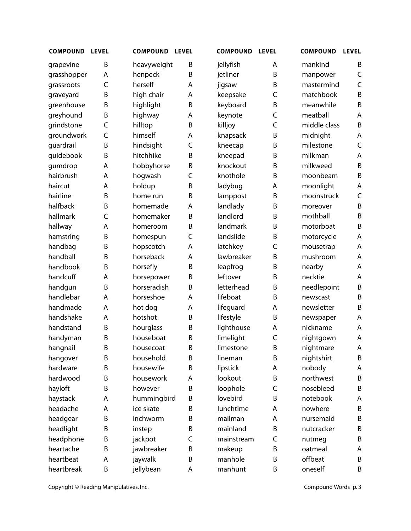| <b>COMPOUND</b> | <b>LEVEL</b> | <b>COMPOUND</b> | <b>LEVEL</b> | <b>COMPOUND</b> | <b>LEVEL</b> | <b>COMPOUND</b> | <b>LEVEL</b> |
|-----------------|--------------|-----------------|--------------|-----------------|--------------|-----------------|--------------|
| grapevine       | B            | heavyweight     | B            | jellyfish       | A            | mankind         | B            |
| grasshopper     | A            | henpeck         | B            | jetliner        | B            | manpower        | C            |
| grassroots      | C            | herself         | Α            | jigsaw          | B            | mastermind      | C            |
| graveyard       | B            | high chair      | Α            | keepsake        | C            | matchbook       | B            |
| greenhouse      | B            | highlight       | B            | keyboard        | B            | meanwhile       | B            |
| greyhound       | B            | highway         | Α            | keynote         | C            | meatball        | A            |
| grindstone      | C            | hilltop         | B            | killjoy         | C            | middle class    | B            |
| groundwork      | C            | himself         | A            | knapsack        | B            | midnight        | A            |
| guardrail       | B            | hindsight       | C            | kneecap         | B            | milestone       | C            |
| guidebook       | B            | hitchhike       | B            | kneepad         | B            | milkman         | A            |
| gumdrop         | А            | hobbyhorse      | B            | knockout        | B            | milkweed        | B            |
| hairbrush       | Α            | hogwash         | C            | knothole        | B            | moonbeam        | B            |
| haircut         | Α            | holdup          | B            | ladybug         | Α            | moonlight       | A            |
| hairline        | B            | home run        | B            | lamppost        | B            | moonstruck      | C            |
| halfback        | B            | homemade        | Α            | landlady        | B            | moreover        | B            |
| hallmark        | C            | homemaker       | B            | landlord        | B            | mothball        | B            |
| hallway         | A            | homeroom        | B            | landmark        | B            | motorboat       | B            |
| hamstring       | B            | homespun        | C            | landslide       | B            | motorcycle      | A            |
| handbag         | B            | hopscotch       | A            | latchkey        | C            | mousetrap       | Α            |
| handball        | B            | horseback       | A            | lawbreaker      | B            | mushroom        | A            |
| handbook        | B            | horsefly        | B            | leapfrog        | B            | nearby          | A            |
| handcuff        | A            | horsepower      | B            | leftover        | B            | necktie         | A            |
| handgun         | B            | horseradish     | B            | letterhead      | B            | needlepoint     | B            |
| handlebar       | А            | horseshoe       | Α            | lifeboat        | B            | newscast        | B            |
| handmade        | A            | hot dog         | A            | lifeguard       | Α            | newsletter      | B            |
| handshake       | Α            | hotshot         | B            | lifestyle       | B            | newspaper       | A            |
| handstand       | B            | hourglass       | B            | lighthouse      | A            | nickname        | A            |
| handyman        | B            | houseboat       | B            | limelight       | C            | nightgown       | A            |
| hangnail        | В            | housecoat       | B            | limestone       | B            | nightmare       | А            |
| hangover        | B            | household       | B            | lineman         | B            | nightshirt      | B            |
| hardware        | B            | housewife       | B            | lipstick        | А            | nobody          | A            |
| hardwood        | B            | housework       | Α            | lookout         | B            | northwest       | B            |
| hayloft         | B            | however         | B            | loophole        | C            | nosebleed       | B            |
| haystack        | Α            | hummingbird     | B            | lovebird        | B            | notebook        | A            |
| headache        | A            | ice skate       | B            | lunchtime       | Α            | nowhere         | B            |
| headgear        | B            | inchworm        | B            | mailman         | A            | nursemaid       | Β            |
| headlight       | B            | instep          | B            | mainland        | B            | nutcracker      | B            |
| headphone       | B            | jackpot         | C            | mainstream      | C            | nutmeg          | B            |
| heartache       | B            | jawbreaker      | B            | makeup          | B            | oatmeal         | A            |
| heartbeat       | Α            | jaywalk         | B            | manhole         | B            | offbeat         | B            |
| heartbreak      | Β            | jellybean       | Α            | manhunt         | B            | oneself         | B            |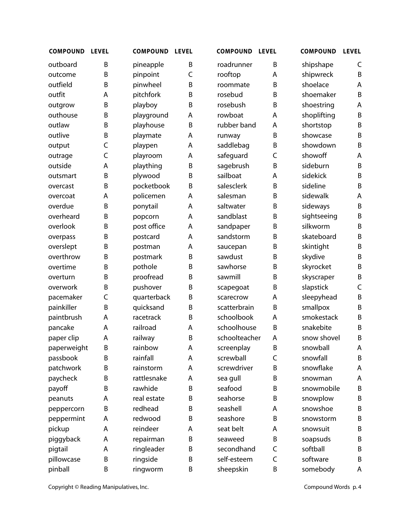| <b>COMPOUND</b> | <b>LEVEL</b> | <b>COMPOUND</b> | <b>LEVEL</b> | <b>COMPOUND</b> | <b>LEVEL</b> | <b>COMPOUND</b> | <b>LEVEL</b> |
|-----------------|--------------|-----------------|--------------|-----------------|--------------|-----------------|--------------|
| outboard        | Β            | pineapple       | B            | roadrunner      | B            | shipshape       | C            |
| outcome         | B            | pinpoint        | C            | rooftop         | A            | shipwreck       | B            |
| outfield        | B            | pinwheel        | B            | roommate        | B            | shoelace        | A            |
| outfit          | A            | pitchfork       | B            | rosebud         | B            | shoemaker       | B            |
| outgrow         | B            | playboy         | B            | rosebush        | B            | shoestring      | A            |
| outhouse        | B            | playground      | A            | rowboat         | A            | shoplifting     | B            |
| outlaw          | B            | playhouse       | B            | rubber band     | A            | shortstop       | B            |
| outlive         | B            | playmate        | A            | runway          | B            | showcase        | B            |
| output          | $\mathsf C$  | playpen         | A            | saddlebag       | B            | showdown        | B            |
| outrage         | $\mathsf C$  | playroom        | A            | safeguard       | C            | showoff         | Α            |
| outside         | A            | plaything       | B            | sagebrush       | B            | sideburn        | B            |
| outsmart        | B            | plywood         | B            | sailboat        | A            | sidekick        | B            |
| overcast        | B            | pocketbook      | B            | salesclerk      | B            | sideline        | B            |
| overcoat        | A            | policemen       | A            | salesman        | B            | sidewalk        | A            |
| overdue         | B            | ponytail        | A            | saltwater       | B            | sideways        | B            |
| overheard       | B            | popcorn         | A            | sandblast       | B            | sightseeing     | B            |
| overlook        | B            | post office     | A            | sandpaper       | B            | silkworm        | B            |
| overpass        | B            | postcard        | A            | sandstorm       | B            | skateboard      | B            |
| overslept       | B            | postman         | A            | saucepan        | B            | skintight       | B            |
| overthrow       | B            | postmark        | B            | sawdust         | B            | skydive         | B            |
| overtime        | B            | pothole         | B            | sawhorse        | B            | skyrocket       | B            |
| overturn        | B            | proofread       | B            | sawmill         | B            | skyscraper      | B            |
| overwork        | B            | pushover        | B            | scapegoat       | B            | slapstick       | $\mathsf C$  |
| pacemaker       | $\mathsf{C}$ | quarterback     | B            | scarecrow       | А            | sleepyhead      | B            |
| painkiller      | B            | quicksand       | B            | scatterbrain    | B            | smallpox        | B            |
| paintbrush      | Α            | racetrack       | B            | schoolbook      | Α            | smokestack      | B            |
| pancake         | A            | railroad        | A            | schoolhouse     | B            | snakebite       | B            |
| paper clip      | A            | railway         | B            | schoolteacher   | A            | snow shovel     | B            |
| paperweight     | B            | rainbow         | Α            | screenplay      | Β            | snowball        | А            |
| passbook        | Β            | rainfall        | A            | screwball       | C            | snowfall        | B            |
| patchwork       | Β            | rainstorm       | A            | screwdriver     | B            | snowflake       | A            |
| paycheck        | B            | rattlesnake     | A            | sea gull        | B            | snowman         | A            |
| payoff          | B            | rawhide         | B            | seafood         | B            | snowmobile      | B            |
| peanuts         | Α            | real estate     | B            | seahorse        | B            | snowplow        | B            |
| peppercorn      | B            | redhead         | B            | seashell        | A            | snowshoe        | B            |
| peppermint      | Α            | redwood         | B            | seashore        | B            | snowstorm       | B            |
| pickup          | A            | reindeer        | A            | seat belt       | Α            | snowsuit        | B            |
| piggyback       | A            | repairman       | B            | seaweed         | B            | soapsuds        | B            |
| pigtail         | Α            | ringleader      | B            | secondhand      | C            | softball        | B            |
| pillowcase      | B            | ringside        | B            | self-esteem     | C            | software        | B            |
| pinball         | B            | ringworm        | B            | sheepskin       | B            | somebody        | A            |